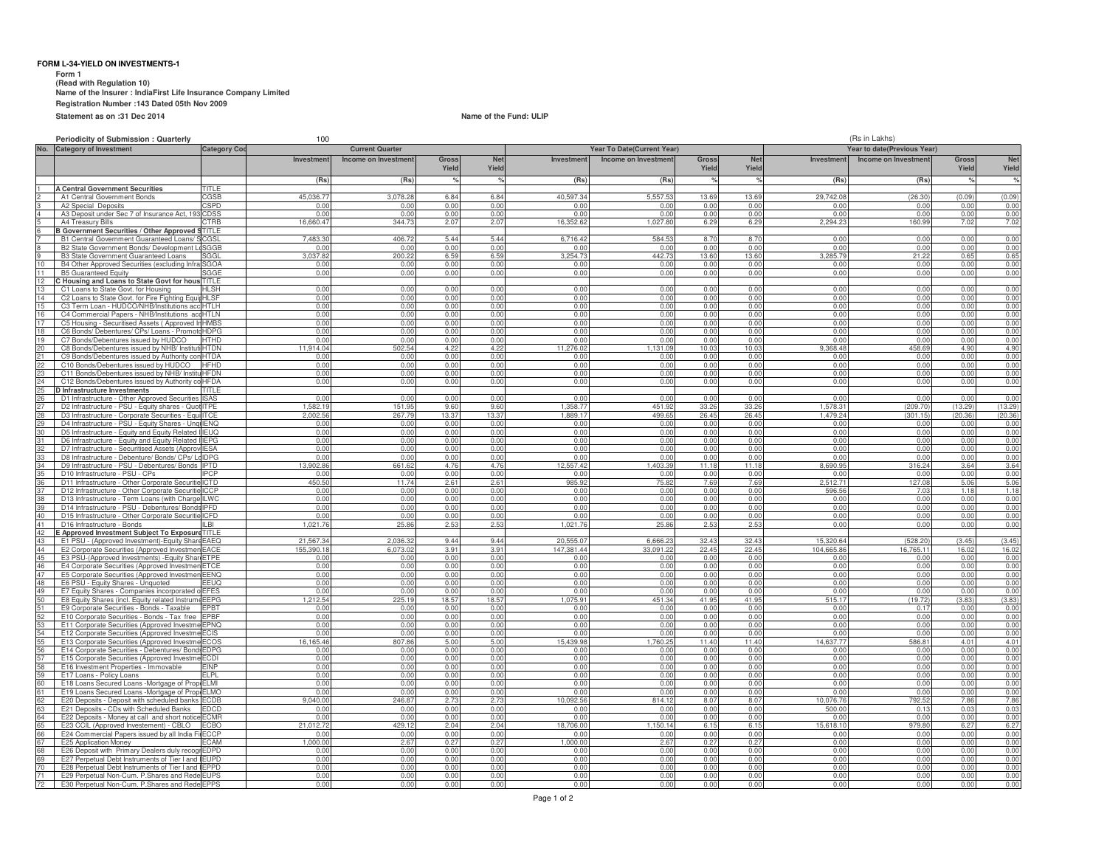### **FORM L-34-YIELD ON INVESTMENTS-1**

 **Form 1 (Read with Regulation 10) Name of the Insurer : IndiaFirst Life Insurance Company Limited Registration Number :143 Dated 05th Nov 2009Statement as on :31 Dec 2014**

**Name of the Fund: ULIP**

|                                              | Periodicity of Submission : Quarterly                                                         |                            | 100                    |                      |                        |                        |                            |                             | (Rs in Lakhs)          |                        |                       |                       |                |                 |
|----------------------------------------------|-----------------------------------------------------------------------------------------------|----------------------------|------------------------|----------------------|------------------------|------------------------|----------------------------|-----------------------------|------------------------|------------------------|-----------------------|-----------------------|----------------|-----------------|
| No.                                          | <b>Category of Investment</b>                                                                 | Category Co                | <b>Current Quarter</b> |                      |                        |                        | Year To Date(Current Year) | Year to date(Previous Year) |                        |                        |                       |                       |                |                 |
|                                              |                                                                                               |                            | Investment             | Income on Investment | <b>Gross</b>           | <b>Net</b>             | Investment                 | Income on Investment        | <b>Gross</b>           | <b>Net</b>             | Investment            | Income on Investment  | <b>Gross</b>   | <b>Net</b>      |
|                                              |                                                                                               |                            |                        |                      | Yield                  | Yield                  |                            |                             | Yield                  | Yield                  |                       |                       | Yield          | Yield           |
|                                              |                                                                                               | <b>TITI F</b>              | (Rs                    | (Rs)                 |                        |                        | (Rs)                       | (Rs)                        |                        |                        | (Rs)                  | (Rs)                  |                |                 |
|                                              | <b>A Central Government Securities</b><br>A1 Central Government Bonds                         | GSB                        | 45.036.                | 3.078.2              | 6.8 <sub>6</sub>       | 6.84                   | 40.597.34                  | 5.557.5                     | 13.69                  | 13.6                   | 29,742.0              | (26.30)               | (0.05)         | (0.09)          |
|                                              | A2 Special Deposits                                                                           | <b>CSPD</b>                | 0.0                    | 0.01                 | 0.0(                   | 0.00                   | 0.00                       | 0.01                        | 0.00                   | 0.00                   | 0.00                  | 0.00                  | 0.0            | 0.00            |
|                                              | A3 Deposit under Sec 7 of Insurance Act, 193                                                  | CDSS                       | 0 <sub>0</sub>         | 0.00                 | 0.00                   | 0.00                   | 0.00                       | 0.00                        | 0.00                   | 0.00                   | 0.00                  | 0.00                  | 0.00           | 0.00            |
|                                              | A4 Treasury Bills                                                                             | CTRB                       | 16,660.4               | 344.73               | 2.07                   | 2.07                   | 16,352.62                  | 1,027.80                    | 6.29                   | 6.29                   | 2,294.23              | 160.99                | 7.02           | 7.02            |
|                                              | <b>B Government Securities / Other Approved</b><br>B1 Central Government Guaranteed Loans/    | ITITLE<br>GSL              | 7.483.3                | 406.7                | 5.44                   | 5.44                   | 6.716.42                   | 584.53                      | 8.70                   | 8.70                   | 0.00                  | 0.00                  | 0.00           | 0.00            |
|                                              | B2 State Government Bonds/ Development                                                        | GGB                        | 0.00                   | 0.0                  | 0.0(                   | 0.00                   | 0.00                       | 0.00                        | 0.00                   | 0.00                   | 0.00                  | 0.00                  | 0.00           | 0.00            |
|                                              | <b>B3 State Government Guaranteed Loans</b>                                                   |                            | 3,037.8                | 200.2                | 6.5                    | 6.59                   | 3,254.73                   | 442.73                      | 13.60                  | 13.6                   | 3 285 7               | 21.22                 | 0.65           | 0.65            |
| 10<br>11                                     | B4 Other Approved Securities (excluding Inf<br><b>B5 Guaranteed Equity</b>                    | SGOA<br>GGF                | 0.00<br>0.01           | 0.00<br>0.00         | 0.00<br>0.0            | 0.00<br>0.00           | 0.00<br>0.00               | 0.00<br>0.00                | 0.00<br>0 <sub>0</sub> | 0.00<br>0.00           | 0.00<br>0.00          | 0.00<br>0.00          | 0.00<br>0.0    | 0.00<br>0.00    |
|                                              | C Housing and Loans to State Govt for hous                                                    | TITI F                     |                        |                      |                        |                        |                            |                             |                        |                        |                       |                       |                |                 |
|                                              | C1 Loans to State Govt. for Housing                                                           | 4L SH                      | 0.01                   | 0.01                 | 0.0                    | 0.00                   | 0.00                       | 0.00                        | 0.01                   | 0.00                   | 0.00                  | 0.00                  | 0.0            | 0.00            |
| 14                                           | C2 Loans to State Govt. for Fire Fighting Equ                                                 | <b>HLSF</b>                | 0.00                   | 0.00                 | 0.00                   | 0.00                   | 0.00                       | 0.00                        | 0.00                   | 0.00                   | 0.00                  | 0.00                  | 0.00           | 0.00            |
| 15<br>16                                     | C3 Term Loan - HUDCO/NHB/Institutions ao<br>C4 Commercial Papers - NHB/Institutions a         | HTLH<br><b>HTLN</b>        | 0.01<br>0.01           | 0.00<br>0.00         | 0.00<br>0.00           | 0.00<br>0.00           | 0.00<br>0.00               | 0.00<br>0.00                | 0.00<br>0.00           | 0.00<br>0.00           | 0.00<br>0.01          | 0.00<br>0.00          | 0.00<br>0.0    | 0.00<br>0.00    |
| 17                                           | C5 Housing - Securitised Assets (Approved                                                     | <b>IMBS</b>                | 0.00                   | 0.00                 | 0.0(                   | 0.00                   | 0.00                       | 0.00                        | 0.00                   | 0.00                   | 0.00                  | 0.00                  | 0.00           | 0.00            |
|                                              | C6 Bonds/ Debentures/ CPs/ Loans -                                                            | DPC                        | 0.01                   | 0.01                 | 0.0                    | 0.00                   | 0.00                       | 0.00                        | 0.0                    | 0.0                    | 0.00                  | 0.0(                  | 0.00           | 0.00            |
| 19                                           | C7 Bonds/Debentures issued by HUD                                                             | HTHD                       | 0.0                    | 0.00<br>502.54       | 0.0                    | 0.00                   | 0.00                       | 0.00<br>13109               | 0.00                   | 0.00<br>100            | 0.00<br>368.48        | 0.00<br>458.69        | 0.00<br>4.90   | 0.00            |
| 20                                           | C8 Bonds/Debentures issued by NHB/ Insti<br>C9 Bonds/Debentures issued by Authority           | <b>HTDN</b><br><b>HTDA</b> | 914 0<br>0.0           | 0.00                 | 4.22<br>0.00           | 4.22<br>0.00           | 11,276.02<br>0.00          | 0.00                        | 10.03<br>0.00          | 0.00                   | 0.00                  | 0.00                  | 0.00           | 4.90<br>0.00    |
| 22                                           | C10 Bonds/Debentures issued by HUDCO                                                          | HFHD                       | 0.01                   | 0.00                 | 0.0                    | 0.01                   | 0.00                       | 0.00                        | 0.01                   | 0.00                   | 0.00                  | 0.00                  | 0.0            | 0.00            |
|                                              | C11 Bonds/Debentures issued by NHB/ Instit                                                    | <b>HFDN</b>                | 0 <sub>0</sub>         | 0.00                 | 0.00                   | 0.00                   | 0.00                       | 0.00                        | 0.00                   | 0.00                   | 0.00                  | 0.00                  | 0.00           | 0.00            |
|                                              | C12 Bonds/Debentures issued by Authority                                                      | <b>HFDA</b>                | 0.01                   | 0.00                 | 0.00                   | 0.00                   | 0.00                       | 0.00                        | 0.00                   | 0.00                   | 0.00                  | 0.00                  | 0.00           | 0.00            |
| 23<br>25<br>25<br>26                         | D Infrastructure Investments<br>D1 Infrastructure - Other Approved Securitie                  | TITL F<br>SAS              | 0.00                   | 0.00                 | 0.00                   | 0.00                   | 0.00                       | 0.00                        | 0.00                   | 0.00                   | 0.00                  | 0.00                  | 0.00           | 0.00            |
|                                              | D2 Infrastructure - PSU - Equity shares - Quo                                                 | TPF                        | ,582.1                 | 151.95               | 9.6                    | 9.60                   | .358.77                    | 451.92                      | 33.2                   | 33.2                   | .578.3                | 209.70                | 13.29          | (13.29)         |
| 27<br>28<br>29<br>30                         | D3 Infrastructure - Corporate Securities - Eq                                                 |                            | 2.002.5                | 267.79               | 13.3                   | 13.3                   | 1.889.17                   | 499.65                      | 26.45                  | 26.45                  | 1.479.24              | 301.15                | 20.36          | (20.36)         |
|                                              | D4 Infrastructure - PSU - Equity Shares                                                       | <b>IENQ</b><br>=1 IC       | 0.0<br>0 <sub>0</sub>  | 0.00<br>0.00         | 0.0<br>0.00            | 0.00<br>0 <sub>0</sub> | 0.00<br>0.00               | 0.00<br>0.00                | 0.00<br>n nr           | 0.00<br>0.00           | 0.00<br>0.00          | 0.0(<br>0.00          | 0.00<br>0.00   | 0.00<br>0.00    |
|                                              | D5 Infrastructure - Equity and Equity Relate<br>D6 Infrastructure - Equity and Equity Related | <b>IFPG</b>                | 0 <sub>0</sub>         | 0.00                 | 0.0(                   | 0.00                   | 0.00                       | 0.00                        | 0.00                   | 0.00                   | 0.00                  | 0.00                  | 0.00           | 0.00            |
|                                              | D7 Infrastructure - Securitised Assets (Appr                                                  | <b>IFSA</b>                | 0.01                   | 0.00                 | 0.0                    | 0.00                   | 0.00                       | 0.00                        | 0.01                   | 0.00                   | 0.00                  | 0.00                  | 0.00           | 0.00            |
|                                              | D8 Infrastructure - Debenture/ Bonds/ CPs/ Ld IDPG                                            |                            | 0 <sub>0</sub>         | 0.00                 | 0.00                   | 0.00                   | 0.00                       | 0.00                        | 0.00                   | 0.00                   | 0.00                  | 0.00                  | 0.00           | 0.00            |
| 32<br>33<br>34<br>35                         | D9 Infrastructure - PSU - Debentures/ Bonds<br>D10 Infrastructure - PSU - CPs                 | <b>IPTD</b><br>PCP         | 13,902.8<br>0.0        | 661.62<br>0.00       | 4.76<br>0.00           | 4.76<br>0.00           | 12,557.42<br>0.00          | 1,403.39<br>0.00            | 11.18<br>0.00          | 11.18<br>0.00          | 8.690.9<br>0.0        | 316.24<br>0.00        | 3.64<br>0.00   | 3.64<br>0.00    |
|                                              | D11 Infrastructure - Other Corporate Securit                                                  | CTD                        | 450.5                  | 11.74                | 2.61                   | 2.61                   | 985.9                      | 75.82                       | 7.69                   | 7.69                   | 2,512.7               | 127.08                | 5.06           | 5.06            |
| 36<br>37<br>38<br>39<br>40                   | D12 Infrastructure - Other Corporate                                                          |                            | 0.0                    | 0.00                 | 0.0                    | 0.00                   | 0.00                       | 0.00                        | 0.01                   | 0.00                   | 596.5                 | 7.0                   | 1.18           | 1.18            |
|                                              | D13 Infrastructure - Term Loans (with Charge                                                  | IL WC                      | 0.00                   | 0.00                 | 0.00                   | 0.00                   | 0.00                       | 0.00                        | 0.00                   | 0.00                   | 0.00                  | 0.00                  | 0.00           | 0.00            |
|                                              | D14 Infrastructure - PSU - Debentures/ Bond<br>D15 Infrastructure - Other Corporate Securiti  | IPFN<br><b>ICED</b>        | 0.0<br>0.0             | 0.00<br>0.00         | 0 <sub>0</sub><br>0.00 | 0.00<br>0.00           | 0.00<br>0.00               | 0 <sub>0</sub><br>0.00      | 0.00<br>0.00           | 0 <sub>0</sub><br>0.00 | 0.00<br>0.00          | 0.00<br>0.00          | 0.00<br>0.00   | 0.00<br>0.00    |
| 41                                           | D16 Infrastructure - Bonds                                                                    | LBI                        | 1.021.7                | 25.86                | 2.53                   | 2.53                   | 1.021.76                   | 25.86                       | 2.53                   | 2.53                   | 0.00                  | 0.00                  | 0.00           | 0.00            |
| $\frac{42}{43}$                              | E Approved Investment Subject To Exposure                                                     | TITLE                      |                        |                      |                        |                        |                            |                             |                        |                        |                       |                       |                |                 |
|                                              | E1 PSU - (Approved Investment)-Equity Shar                                                    | <b>FAFO</b>                | 21,567.3<br>155.390.1  | 2,036.3<br>6.073.0   | 9.44                   | 9.44<br>3.91           | 20.555.0<br>147.381.44     | 6,666.2<br>33.091.22        | 32.43                  | 32.43                  | 15,320.6<br>104.665.8 | (528.20)<br>16.765.11 | (3.45)<br>16.0 | (3.45)<br>16.02 |
| 45                                           | E2 Corporate Securities (Approved Investme<br>E3 PSU-(Approved Investments) - Equity Sha      | FACE<br><b>ETPF</b>        | 0.01                   | 0.01                 | 3.91<br>0.00           | 0.00                   | 0.00                       | 0.00                        | 22.45<br>0.00          | 22.45<br>0.00          | 0.01                  | 0.00                  | 0.00           | 0.00            |
| 46<br>47                                     | E4 Corporate Securities (Approved Investme                                                    | <b>FTCF</b>                | 0.00                   | 0.00                 | 0.0                    | 0.00                   | 0.00                       | 0.00                        | 0.00                   | 0.0                    | 0.00                  | 0.00                  | 0.00           | 0.00            |
|                                              | E5 Corporate Securities (Approved Investme                                                    | FENO                       | 0.00                   | 0.00                 | 0.0                    | 0.00                   | 0.00                       | 0.00                        | 0.00                   | 0.00                   | 0.00                  | 0.00                  | 0.00           | 0.00            |
| 48<br>49                                     | E6 PSU - Equity Shares - Unquoted<br>E7 Equity Shares - Companies incorporate                 | FFI IO<br><b>FES</b>       | 0.00<br>$\cap$         | 0.00<br>0.00         | 0.00<br>0.0            | 0.00<br>0.00           | 0.00<br>0.00               | 0.00<br>0.0(                | 0.00<br>0 <sub>0</sub> | 0.00<br>0.0            | 0.00<br>0.00          | 0.00<br>0.0           | 0.00<br>0.0    | 0.00<br>0.00    |
|                                              | E8 Equity Shares (incl. Equity related Instru                                                 | EEPG                       | .212.5                 | 225.19               | 18.57                  | 18.57                  | 1.075.91                   | 451.34                      | 41.95                  | 41.95                  | 515.17                | 19.72                 | (3.83)         | (3.83)          |
| 51                                           | E9 Corporate Securities - Bonds - Taxable                                                     | FPBT                       | 0.01                   | 0.00                 | 0.00                   | 0.00                   | 0.00                       | 0.00                        | 0.00                   | 0.00                   | 0.00                  | 0.17                  | 0.00           | 0.00            |
|                                              | E10 Corporate Securities - Bonds - Tax free                                                   | <b>FPBF</b><br><b>FPNO</b> | 0.00<br>0 <sub>0</sub> | 0.00<br>0.00         | 0.00                   | 0.00<br>0.01           | 0.00<br>000                | 0.00<br>0 <sub>0</sub>      | 0.00<br>0.00           | 0.00<br>0.00           | 0.00<br>0.00          | 0.00<br>0.00          | 0.00<br>0.00   | 0.00<br>0.00    |
| $\frac{52}{53}$                              | E11 Corporate Securities (Approved Investr<br>E12 Corporate Securities (Approved Invest       | <b>CIS</b>                 | 0.0                    | 0.00                 | 0.00<br>0.0            | 0.00                   | 0.00                       | 0.01                        | 0.01                   | 0.00                   | 0.01                  | 0.00                  | 0.01           | 0.00            |
| 55                                           | E13 Corporate Securities (Approved Invest                                                     | :COS                       | 16,165.46              | 307.86               | 5.0(                   | 5.00                   | 15,439.98                  | .760.2                      | 11.40                  | 11.40                  | 14,637.7              | 586.8                 | 4.01           | 4.01            |
|                                              | E14 Corporate Securities - Debentures/ Bon                                                    |                            | 0.01                   | 0.01                 | 0.0(                   | 0.00                   | 0.00                       | 0.00                        | 0.0(                   | 0.00                   | 0.01                  | 0.00                  | 0.00           | 0.00            |
|                                              | E15 Corporate Securities (Approved Investr<br>E16 Investment Properties - Immovable           | FCDI<br>FINP               | 0.00<br>0 <sub>0</sub> | 0.00<br>0.00         | 0.00<br>0.00           | 0.00<br>0 <sub>0</sub> | 0.00<br>0.00               | 0.00<br>0.00                | 0.00<br>0.00           | 0.00<br>0.00           | 0.00                  | 0.00<br>0.00          | 0.00<br>0.00   | 0.00<br>0.00    |
| 56<br>57<br>58<br>59                         | E17 Loans - Policy Loans                                                                      | -I PI                      | 0.0                    | 0.00                 | 0.00                   | 0.00                   | 0.00                       | 0.00                        | 0.00                   | 0.00                   | 0.00                  | 0.00                  | 0.00           | 0.00            |
| 60                                           | E18 Loans Secured Loans - Mortgage of Pr                                                      | FI MI                      | 0.0                    | 0.00                 | 0.0(                   | 0.01                   | 0.00                       | 0.00                        | 0.00                   | 0.00                   | 0.00                  | 0.00                  | 0.00           | 0.00            |
| 61                                           | E19 Loans Secured Loans - Mortgage of Pro                                                     | FI MO                      | 0.01                   | 0.00                 | 0.00                   | 0.00                   | 0.00                       | 0.00                        | 0.00                   | 0.00                   | 0.00                  | 0.00                  | 0.00           | 0.00            |
|                                              | E20 Deposits - Deposit with scheduled banks<br>E21 Deposits - CDs with Scheduled Banks        | <b>ECDB</b><br>:DCD        | 9,040.0<br>n ni        | 246.87<br>n nr       | 2.73<br>0.00           | 2.73<br>0.00           | 10,092.56<br>0.00          | 814.12<br>0.00              | 8.07<br>0.00           | 8.07<br>0.00           | 10.076.7<br>500.0     | 792.52<br>0.13        | 7.86<br>0.0    | 7.86<br>0.03    |
| 62<br>63<br>64<br>65<br>65<br>66<br>67<br>68 | E22 Deposits - Money at call and short notic                                                  | CMR                        | 0.00                   | 0.00                 | 0.00                   | 0.00                   | 0.00                       | 0.00                        | 0.00                   | 0.00                   | 0.0(                  | 0.00                  | 0.00           | 0.00            |
|                                              | E23 CCIL (Approved Investement) - CBLO                                                        | GBO.                       | 21,012.7               | 429.12               | 2.04                   | 2.04                   | 18,706.00                  | 150.14                      | 6.15                   | 6.15                   | 15,618.1              | 979.80                | 6.2            | 6.27            |
|                                              | E24 Commercial Papers issued by all India                                                     | $-CAM$                     | 0.0                    | 0.00                 | 0.0                    | 0.00                   | 0.00<br>1,000.00           | 0.00<br>2.67                | 0.00                   | 0.00                   | 0.01                  | 0.0(                  | 0.00<br>0.0    | 0.00            |
|                                              | E25 Application Money<br>E26 Deposit with Primary Dealers duly rec                            | -npn                       | 1,000.0<br>0.0         | 2.67<br>0.00         | 0.27<br>0.00           | 0.27<br>0.00           | 0.00                       | 0.00                        | 0.27<br>0.00           | $0.2^{\circ}$<br>0.00  | 0.00<br>0.00          | 0.00<br>0.00          | 0.00           | 0.00<br>0.00    |
|                                              | E27 Perpetual Debt Instruments of Tier I and                                                  | FI IPD                     | 0 <sub>0</sub>         | 0.00                 | 0 <sub>0</sub>         | 0.00                   | 0 <sub>0</sub>             |                             | 0 <sub>0</sub>         | 0 <sub>0</sub>         | 0.00                  | 0 <sub>0</sub>        | 0 <sub>0</sub> | 0.00            |
|                                              | E28 Perpetual Debt Instruments of Tier I and                                                  | FPPD                       | 0.00                   | 0.00                 | 0.0                    | 0.00                   | 0.00                       | 0.00                        | 0.01                   | 0.00                   | 0.00                  | 0.00                  | 0.00           | 0.00            |
| 71<br>72                                     | E29 Perpetual Non-Cum. P.Shares and Rede<br>E30 Perpetual Non-Cum. P.Shares and Rede          | <b>FUPS</b><br><b>EPPS</b> | 0.01<br>0.01           | 0.00<br>0.00         | 0.00<br>0.00           | 0.00<br>0.00           | 0.00<br>0.00               | 0.00<br>0.00                | 0.00<br>0.00           | 0.00<br>0.00           | 0.00<br>0.00          | 0.00<br>0.00          | 0.00<br>0.00   | 0.00<br>0.00    |
|                                              |                                                                                               |                            |                        |                      |                        |                        |                            |                             |                        |                        |                       |                       |                |                 |